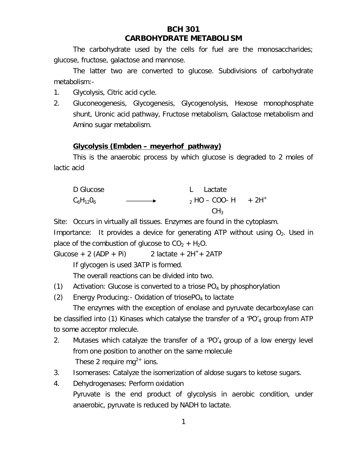# **BCH 301 CARBOHYDRATE METABOLISM**

The carbohydrate used by the cells for fuel are the monosaccharides; glucose, fructose, galactose and mannose.

The latter two are converted to glucose. Subdivisions of carbohydrate metabolism:-

- 1. Glycolysis, Citric acid cycle.
- 2. Gluconeogenesis, Glycogenesis, Glycogenolysis, Hexose monophosphate shunt, Uronic acid pathway, Fructose metabolism, Galactose metabolism and Amino sugar metabolism.

## **Glycolysis (Embden – meyerhof pathway)**

This is the anaerobic process by which glucose is degraded to 2 moles of lactic acid



Site: Occurs in virtually all tissues. Enzymes are found in the cytoplasm.

Importance: It provides a device for generating ATP without using  $O_2$ . Used in place of the combustion of glucose to  $CO<sub>2</sub> + H<sub>2</sub>O$ .

Glucose + 2 (ADP + Pi) 2 lactate +  $2H^+$  +  $2ATP$ 

If glycogen is used 3ATP is formed.

The overall reactions can be divided into two.

(1) Activation: Glucose is converted to a triose  $PO<sub>4</sub>$  by phosphorylation

(2) Energy Producing: - Oxidation of triosePO<sub>4</sub> to lactate

The enzymes with the exception of enolase and pyruvate decarboxylase can be classified into (1) Kinases which catalyse the transfer of a 'PO'<sub>4</sub> group from ATP to some acceptor molecule.

- 2. Mutases which catalyze the transfer of a 'PO'4 group of a low energy level from one position to another on the same molecule These 2 require  $mq^{2+}$  ions.
- 3. Isomerases: Catalyze the isomerization of aldose sugars to ketose sugars.
- 4. Dehydrogenases: Perform oxidation Pyruvate is the end product of glycolysis in aerobic condition, under anaerobic, pyruvate is reduced by NADH to lactate.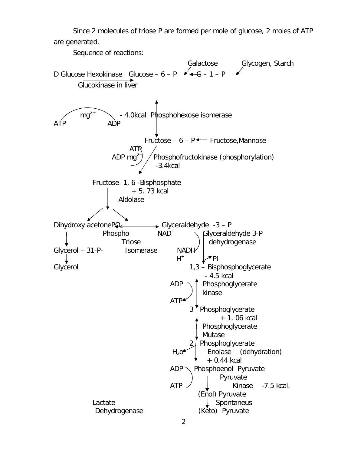Since 2 molecules of triose P are formed per mole of glucose, 2 moles of ATP are generated.

Sequence of reactions:

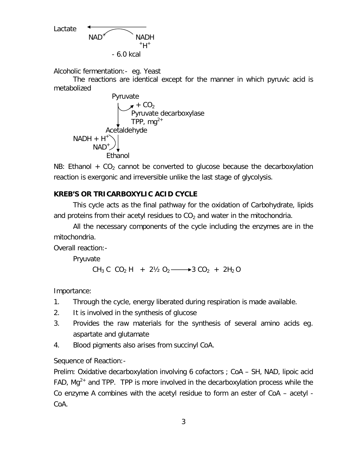Lactate  $NAD^+$  NADH  $+H^+$ - 6.0 kcal

Alcoholic fermentation:- eg. Yeast

The reactions are identical except for the manner in which pyruvic acid is metabolized



NB: Ethanol  $+ CO<sub>2</sub>$  cannot be converted to glucose because the decarboxylation reaction is exergonic and irreversible unlike the last stage of glycolysis.

## **KREB'S OR TRICARBOXYLIC ACID CYCLE**

This cycle acts as the final pathway for the oxidation of Carbohydrate, lipids and proteins from their acetyl residues to  $CO<sub>2</sub>$  and water in the mitochondria.

All the necessary components of the cycle including the enzymes are in the mitochondria.

Overall reaction:-

Pryuvate

 $CH_3 C CO_2 H + 2V_2 O_2 \longrightarrow 3 CO_2 + 2H_2 O$ 

Importance:

- 1. Through the cycle, energy liberated during respiration is made available.
- 2. It is involved in the synthesis of glucose
- 3. Provides the raw materials for the synthesis of several amino acids eg. aspartate and glutamate
- 4. Blood pigments also arises from succinyl CoA.

Sequence of Reaction:-

Prelim: Oxidative decarboxylation involving 6 cofactors ; CoA – SH, NAD, lipoic acid FAD, Mg<sup>2+</sup> and TPP. TPP is more involved in the decarboxylation process while the Co enzyme A combines with the acetyl residue to form an ester of CoA – acetyl - CoA.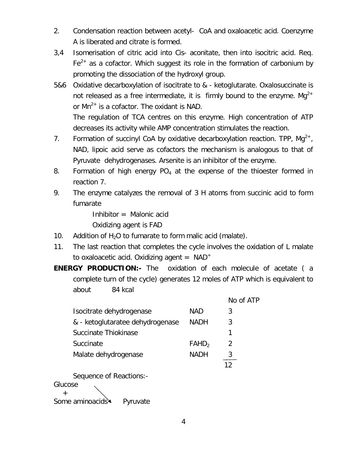- 2. Condensation reaction between acetyl- CoA and oxaloacetic acid. Coenzyme A is liberated and citrate is formed.
- 3,4 Isomerisation of citric acid into Cis- aconitate, then into isocitric acid. Req.  $Fe<sup>2+</sup>$  as a cofactor. Which suggest its role in the formation of carbonium by promoting the dissociation of the hydroxyl group.
- 5&6 Oxidative decarboxylation of isocitrate to & ketoglutarate. Oxalosuccinate is not released as a free intermediate, it is firmly bound to the enzyme. Mg<sup>2+</sup> or  $Mn^{2+}$  is a cofactor. The oxidant is NAD.

The regulation of TCA centres on this enzyme. High concentration of ATP decreases its activity while AMP concentration stimulates the reaction.

- 7. Formation of succinyl CoA by oxidative decarboxylation reaction. TPP,  $Mg^{2+}$ , NAD, lipoic acid serve as cofactors the mechanism is analogous to that of Pyruvate dehydrogenases. Arsenite is an inhibitor of the enzyme.
- 8. Formation of high energy  $PO_4$  at the expense of the thioester formed in reaction 7.
- 9. The enzyme catalyzes the removal of 3 H atoms from succinic acid to form fumarate

Inhibitor = Malonic acid

Oxidizing agent is FAD

- 10. Addition of  $H_2O$  to fumarate to form malic acid (malate).
- 11. The last reaction that completes the cycle involves the oxidation of L malate to oxaloacetic acid. Oxidizing agent  $=$  NAD<sup>+</sup>
- **ENERGY PRODUCTION:-** The oxidation of each molecule of acetate ( a complete turn of the cycle) generates 12 moles of ATP which is equivalent to about 84 kcal

|                                  |                   | No of ATP |
|----------------------------------|-------------------|-----------|
| Isocitrate dehydrogenase         | NAD               | 3         |
| & - ketoglutaratee dehydrogenase | <b>NADH</b>       | 3         |
| Succinate Thiokinase             |                   |           |
| Succinate                        | FAHD <sub>2</sub> | 2         |
| Malate dehydrogenase             | NADH              |           |
|                                  |                   |           |

Sequence of Reactions:-

Glucose

 $+$ Some aminoacids Pyruvate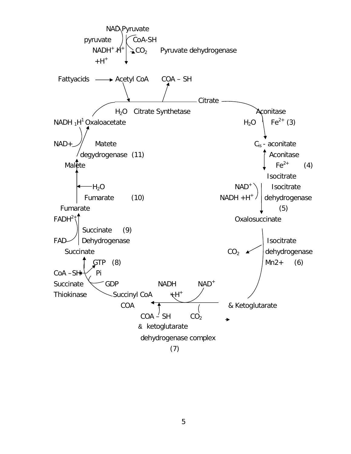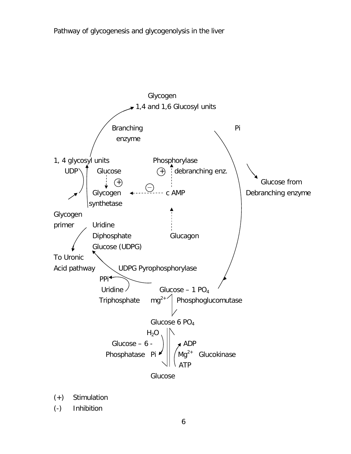

- (+) Stimulation
- (-) Inhibition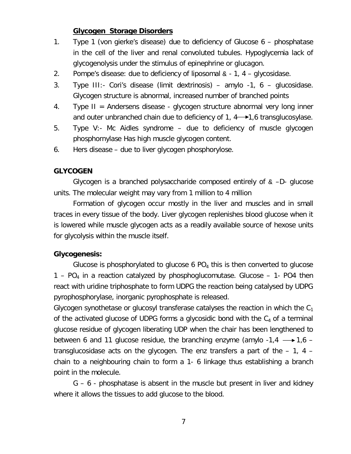### **Glycogen Storage Disorders**

- 1. Type 1 (von gierke's disease) due to deficiency of Glucose 6 phosphatase in the cell of the liver and renal convoluted tubules. Hypoglycemia lack of glycogenolysis under the stimulus of epinephrine or glucagon.
- 2. Pompe's disease: due to deficiency of liposomal  $\alpha$  1, 4 glycosidase.
- 3. Type III:- Cori's disease (limit dextrinosis) amylo -1, 6 glucosidase. Glycogen structure is abnormal, increased number of branched points
- 4. Type II = Andersens disease glycogen structure abnormal very long inner and outer unbranched chain due to deficiency of 1,  $4 \rightarrow 1.6$  transglucosylase.
- 5. Type V:- Mc Aidles syndrome due to deficiency of muscle glycogen phosphornylase Has high muscle glycogen content.
- 6. Hers disease due to liver glycogen phosphorylose.

### **GLYCOGEN**

Glycogen is a branched polysaccharide composed entirely of  $\alpha$  -D- glucose units. The molecular weight may vary from 1 million to 4 million

Formation of glycogen occur mostly in the liver and muscles and in small traces in every tissue of the body. Liver glycogen replenishes blood glucose when it is lowered while muscle glycogen acts as a readily available source of hexose units for glycolysis within the muscle itself.

### **Glycogenesis:**

Glucose is phosphorylated to glucose 6  $PO<sub>4</sub>$  this is then converted to glucose  $1 - PO<sub>4</sub>$  in a reaction catalyzed by phosphoglucomutase. Glucose  $-1$ - PO4 then react with uridine triphosphate to form UDPG the reaction being catalysed by UDPG pyrophosphorylase, inorganic pyrophosphate is released.

Glycogen synothetase or glucosyl transferase catalyses the reaction in which the  $C_1$ of the activated glucose of UDPG forms a glycosidic bond with the  $C_4$  of a terminal glucose residue of glycogen liberating UDP when the chair has been lengthened to between 6 and 11 glucose residue, the branching enzyme (amylo  $-1,4 \rightarrow 1,6$ transglucosidase acts on the glycogen. The enz transfers a part of the – 1, 4 – chain to a neighbouring chain to form a 1- 6 linkage thus establishing a branch point in the molecule.

G – 6 - phosphatase is absent in the muscle but present in liver and kidney where it allows the tissues to add glucose to the blood.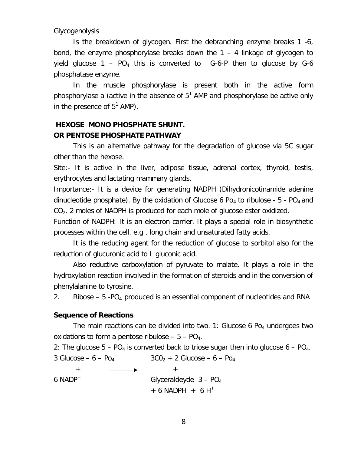Glycogenolysis

Is the breakdown of glycogen. First the debranching enzyme breaks 1 -6, bond, the enzyme phosphorylase breaks down the 1 – 4 linkage of glycogen to yield glucose  $1 - PO_4$  this is converted to  $G-6-P$  then to glucose by  $G-6$ phosphatase enzyme.

In the muscle phosphorylase is present both in the active form phosphorylase a (active in the absence of  $5^1$  AMP and phosphorylase be active only in the presence of  $5^1$  AMP).

# **HEXOSE MONO PHOSPHATE SHUNT. OR PENTOSE PHOSPHATE PATHWAY**

This is an alternative pathway for the degradation of glucose via 5C sugar other than the hexose.

Site:- It is active in the liver, adipose tissue, adrenal cortex, thyroid, testis, erythrocytes and lactating mammary glands.

Importance:- It is a device for generating NADPH (Dihydronicotinamide adenine dinucleotide phosphate). By the oxidation of Glucose 6 Po<sub>4</sub> to ribulose -  $5$  - PO<sub>4</sub> and  $CO<sub>2</sub>$ . 2 moles of NADPH is produced for each mole of glucose ester oxidized.

Function of NADPH: It is an electron carrier. It plays a special role in biosynthetic processes within the cell. e.g . long chain and unsaturated fatty acids.

It is the reducing agent for the reduction of glucose to sorbitol also for the reduction of glucuronic acid to L gluconic acid.

Also reductive carboxylation of pyruvate to malate. It plays a role in the hydroxylation reaction involved in the formation of steroids and in the conversion of phenylalanine to tyrosine.

2. Ribose  $-5$  -PO<sub>4</sub> produced is an essential component of nucleotides and RNA

### **Sequence of Reactions**

The main reactions can be divided into two. 1: Glucose 6 Po<sub>4</sub> undergoes two oxidations to form a pentose ribulose  $-5 - PO_4$ .

2: The glucose  $5 - PO_4$  is converted back to triose sugar then into glucose  $6 - PO_4$ .

3 Glucose – 6 – Po<sub>4</sub> 3CO<sub>2</sub> + 2 Glucose – 6 – Po<sub>4</sub>

 $+$   $+$ 

6 NADP<sup>+</sup> Glyceraldeyde  $3 - PO_4$ 

 $+ 6$  NADPH  $+ 6$  H<sup>+</sup>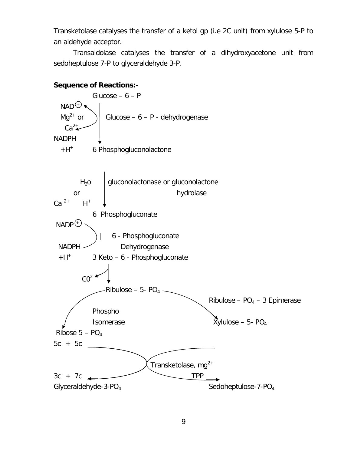Transketolase catalyses the transfer of a ketol gp (i.e 2C unit) from xylulose 5-P to an aldehyde acceptor.

Transaldolase catalyses the transfer of a dihydroxyacetone unit from sedoheptulose 7-P to glyceraldehyde 3-P.

# **Sequence of Reactions:-** Glucose –  $6 - P$  $NAD^{\bigoplus}$  $Mq^{2+}$  or  $\bigcup$  Glucose – 6 – P - dehydrogenase  $Ca<sup>2</sup>$ NADPH  $+H^+$ 6 Phosphogluconolactone  $H<sub>2</sub>o$  gluconolactonase or gluconolactone or and hydrolase  $Ca<sup>2+</sup>$  $H^+$  6 Phosphogluconate  $NADP$  | 6 - Phosphogluconate NADPH Dehydrogenase  $+H^+$ 3 Keto – 6 - Phosphogluconate  $CO<sup>2</sup>$ Ribulose – 5- PO<sub>4</sub>. Ribulose –  $PO<sub>4</sub>$  – 3 Epimerase Phospho Isomerase  $\overline{X}$ ylulose – 5- PO<sub>4</sub> Ribose  $5 - PO_4$  $5c + 5c$ Transketolase,  $mg^{2+}$  $3c + 7c$  TPP  $Glyceraldehyde-3-PO<sub>4</sub>$  Sedoheptulose-7-PO<sub>4</sub>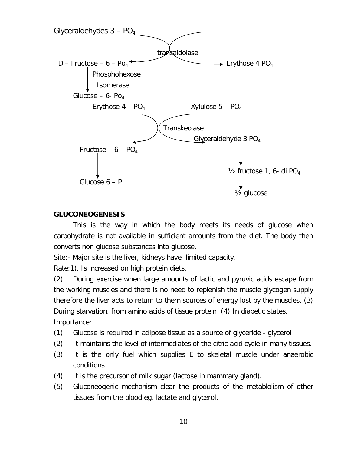

### **GLUCONEOGENESIS**

This is the way in which the body meets its needs of glucose when carbohydrate is not available in sufficient amounts from the diet. The body then converts non glucose substances into glucose.

Site:- Major site is the liver, kidneys have limited capacity.

Rate:1). Is increased on high protein diets.

(2) During exercise when large amounts of lactic and pyruvic acids escape from the working muscles and there is no need to replenish the muscle glycogen supply therefore the liver acts to return to them sources of energy lost by the muscles. (3) During starvation, from amino acids of tissue protein (4) In diabetic states. Importance:

- (1) Glucose is required in adipose tissue as a source of glyceride glycerol
- (2) It maintains the level of intermediates of the citric acid cycle in many tissues.
- (3) It is the only fuel which supplies E to skeletal muscle under anaerobic conditions.
- (4) It is the precursor of milk sugar (lactose in mammary gland).
- (5) Gluconeogenic mechanism clear the products of the metablolism of other tissues from the blood eg. lactate and glycerol.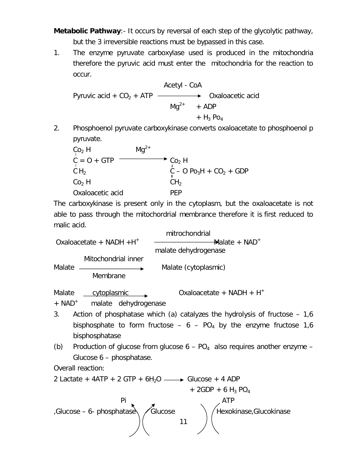**Metabolic Pathway**:- It occurs by reversal of each step of the glycolytic pathway, but the 3 irreversible reactions must be bypassed in this case.

1. The enzyme pyruvate carboxylase used is produced in the mitochondria therefore the pyruvic acid must enter the mitochondria for the reaction to occur.

Activity 1 - CoA

\nPyruvic acid + CO<sub>2</sub> + ATP

\n→

\n→

\n0xaloacetic acid

\n
$$
Mg^{2+}
$$
 + ADP

\n→

\n→

\n+

\n+

\n+

\n+

\n+

\n+

\n+

\n+

\n+

\n+

\n+

\n+

\n+

\n+

\n+

\n+

\n+

\n+

\n+

\n+

\n+

\n+

\n+

\n+

\n+

\n+

\n+

\n+

\n+

\n+

\n+

\n+

\n+

\n+

\n+

\n+

\n+

\n+

\n+

\n+

\n+

\n+

\n+

\n+

\n+

\n+

\n+

\n+

\n+

\n+

\n+

\n+

\n+

\n+

\n+

\n+

\n+

\n+

\n+

\n+

\n+

\n+

\n+

\n+

\n+

\n+

\n+

\n+

\n+

\n+

\n+

\n+

\n+

\n+

\n+

\n+

\n+

\n+

\n+

\n+

\n+

\n+

\n+

\n+

\n+

\n+

\n+

\n+

\n+

\n+

\n+

\n+

\n+

\n+

\n+

\n+

\n+

\n+

\n+

\n+

\n+

\n+

\n+

\n+

\n+

\n+

\n+

\n+

\n+

\n+

\n+

\n+

2. Phosphoenol pyruvate carboxykinase converts oxaloacetate to phosphoenol p pyruvate.

$$
CO2 H\nC = O + GTP\nCH2\n
$$
CO2 H\n
$$
CO2 H\n
$$
CO2 H\n
$$
CO2 H\nCH2\nOxaloacetic acid\nPEP
$$
$$
$$
$$
$$

The carboxykinase is present only in the cytoplasm, but the oxaloacetate is not able to pass through the mitochordrial membrance therefore it is first reduced to malic acid.

 mitrochondrial Oxaloacetate + NADH  $+H^+$  $\del$ Malate + NAD<sup>+</sup> malate dehydrogenase Mitochondrial inner Malate  $\longrightarrow$  Malate (cytoplasmic) Membrane

Malate cytoplasmic Cxaloacetate + NADH +  $H^+$ 

 $+$  NAD<sup>+</sup> malate dehydrogenase

- 3. Action of phosphatase which (a) catalyzes the hydrolysis of fructose 1,6 bisphosphate to form fructose –  $6 - PO_4$  by the enzyme fructose 1,6 bisphosphatase
- (b) Production of glucose from glucose  $6 PO_4$  also requires another enzyme Glucose 6 – phosphatase.

Overall reaction:

$$
2 Lactate + 4ATP + 2 GTP + 6H2O \longrightarrow Glucose + 4 ADP + 2GDP + 6H3 PO4
$$
  
\n
$$
Pi
$$
  
\n
$$
Glucose - 6- phosphatase
$$
  
\n
$$
11
$$
  
\n
$$
ATP
$$
  
\n
$$
Hexokinase, Glucokinase
$$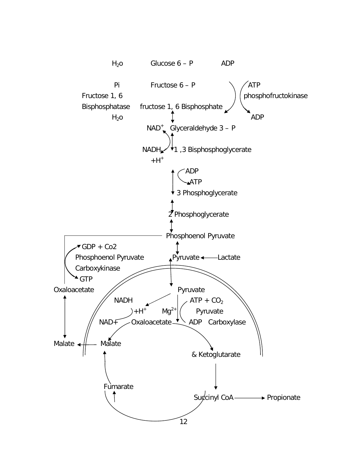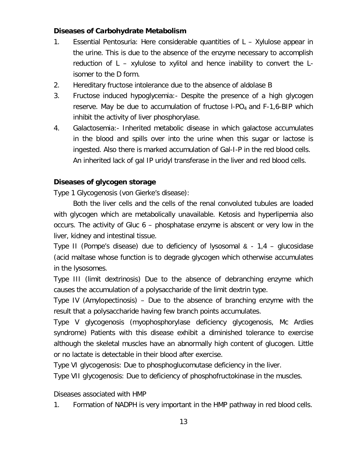# **Diseases of Carbohydrate Metabolism**

- 1. Essential Pentosuria: Here considerable quantities of L Xylulose appear in the urine. This is due to the absence of the enzyme necessary to accomplish reduction of L – xylulose to xylitol and hence inability to convert the Lisomer to the D form.
- 2. Hereditary fructose intolerance due to the absence of aldolase B
- 3. Fructose induced hypoglycemia:- Despite the presence of a high glycogen reserve. May be due to accumulation of fructose  $I-PO<sub>4</sub>$  and  $F-I$ , 6-BIP which inhibit the activity of liver phosphorylase.
- 4. Galactosemia:- Inherited metabolic disease in which galactose accumulates in the blood and spills over into the urine when this sugar or lactose is ingested. Also there is marked accumulation of Gal-I-P in the red blood cells. An inherited lack of gal IP uridyl transferase in the liver and red blood cells.

# **Diseases of glycogen storage**

Type 1 Glycogenosis (von Gierke's disease):

Both the liver cells and the cells of the renal convoluted tubules are loaded with glycogen which are metabolically unavailable. Ketosis and hyperlipemia also occurs. The activity of Gluc 6 – phosphatase enzyme is abscent or very low in the liver, kidney and intestinal tissue.

Type II (Pompe's disease) due to deficiency of lysosomal & - 1,4 – glucosidase (acid maltase whose function is to degrade glycogen which otherwise accumulates in the lysosomes.

Type III (limit dextrinosis) Due to the absence of debranching enzyme which causes the accumulation of a polysaccharide of the limit dextrin type.

Type IV (Amylopectinosis) – Due to the absence of branching enzyme with the result that a polysaccharide having few branch points accumulates.

Type V glycogenosis (myophosphorylase deficiency glycogenosis, Mc Ardies syndrome) Patients with this disease exhibit a diminished tolerance to exercise although the skeletal muscles have an abnormally high content of glucogen. Little or no lactate is detectable in their blood after exercise.

Type VI glycogenosis: Due to phosphoglucomutase deficiency in the liver.

Type VII glycogenosis: Due to deficiency of phosphofructokinase in the muscles.

Diseases associated with HMP

1. Formation of NADPH is very important in the HMP pathway in red blood cells.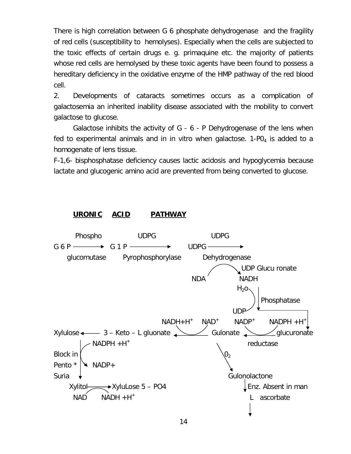There is high correlation between G 6 phosphate dehydrogenase and the fragility of red cells (susceptibility to hemolyses). Especially when the cells are subjected to the toxic effects of certain drugs e. g. primaquine etc. the majority of patients whose red cells are hemolysed by these toxic agents have been found to possess a hereditary deficiency in the oxidative enzyme of the HMP pathway of the red blood cell.

2. Developments of cataracts sometimes occurs as a complication of galactosemia an inherited inability disease associated with the mobility to convert galactose to glucose.

Galactose inhibits the activity of G - 6 - P Dehydrogenase of the lens when fed to experimental animals and in in vitro when galactose.  $1-PQ<sub>4</sub>$  is added to a homogenate of lens tissue.

F-1,6- bisphosphatase deficiency causes lactic acidosis and hypoglycemia because lactate and glucogenic amino acid are prevented from being converted to glucose.

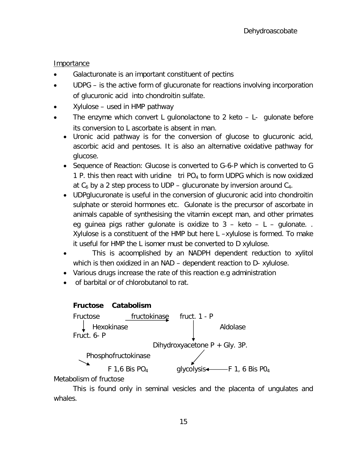# Importance

- Galacturonate is an important constituent of pectins
- UDPG is the active form of glucuronate for reactions involving incorporation of glucuronic acid into chondroitin sulfate.
- Xylulose used in HMP pathway
- The enzyme which convert L gulonolactone to 2 keto L- gulonate before its conversion to L ascorbate is absent in man.
	- Uronic acid pathway is for the conversion of glucose to glucuronic acid, ascorbic acid and pentoses. It is also an alternative oxidative pathway for glucose.
	- Sequence of Reaction: Glucose is converted to G-6-P which is converted to G 1 P. this then react with uridine tri  $PO<sub>4</sub>$  to form UDPG which is now oxidized at  $C_6$  by a 2 step process to UDP – glucuronate by inversion around  $C_4$ .
	- UDPglucuronate is useful in the conversion of glucuronic acid into chondroitin sulphate or steroid hormones etc. Gulonate is the precursor of ascorbate in animals capable of synthesising the vitamin except man, and other primates eg guinea pigs rather gulonate is oxidize to  $3 -$  keto  $-$  L  $-$  gulonate. Xylulose is a constituent of the HMP but here L –xylulose is formed. To make it useful for HMP the L isomer must be converted to D xylulose.
	- This is acoomplished by an NADPH dependent reduction to xylitol which is then oxidized in an NAD – dependent reaction to D- xylulose.
	- Various drugs increase the rate of this reaction e.g administration
	- of barbital or of chlorobutanol to rat.



Metabolism of fructose

This is found only in seminal vesicles and the placenta of ungulates and whales.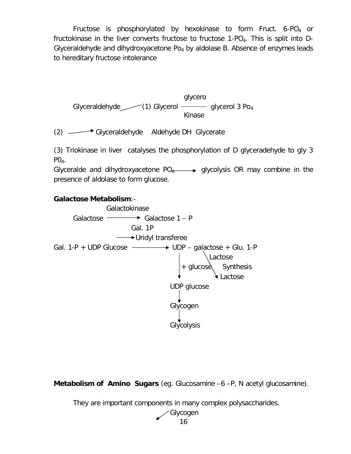Fructose is phosphorylated by hexokinase to form Fruct. 6-PO<sub>4</sub> or fructokinase in the liver converts fructose to fructose  $1-PO<sub>4</sub>$ . This is split into D-Glyceraldehyde and dihydroxyacetone  $Po_4$  by aldolase B. Absence of enzymes leads to hereditary fructose intolerance



(2) Glyceraldehyde Aldehyde DH Glycerate

(3) Triokinase in liver catalyses the phosphorylation of D glyceradehyde to gly 3  $PO<sub>4</sub>$ .

Glyceralde and dihydroxyacetone  $PO_4 \longrightarrow$  glycolysis OR may combine in the presence of aldolase to form glucose.

### **Galactose Metabolism**:-



**Metabolism of Amino Sugars** (eg. Glucosamine –6 –P, N acetyl glucosamine).

They are important components in many complex polysaccharides.

16 Glycogen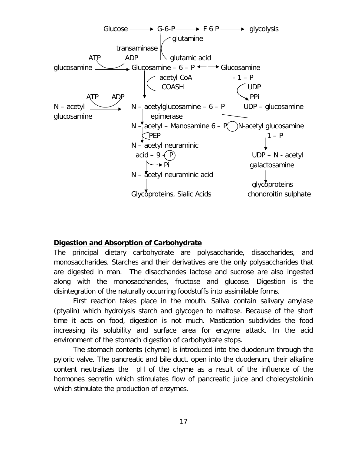

### **Digestion and Absorption of Carbohydrate**

The principal dietary carbohydrate are polysaccharide, disaccharides, and monosaccharides. Starches and their derivatives are the only polysaccharides that are digested in man. The disacchandes lactose and sucrose are also ingested along with the monosaccharides, fructose and glucose. Digestion is the disintegration of the naturally occurring foodstuffs into assimilable forms.

First reaction takes place in the mouth. Saliva contain salivary amylase (ptyalin) which hydrolysis starch and glycogen to maltose. Because of the short time it acts on food, digestion is not much. Mastication subdivides the food increasing its solubility and surface area for enzyme attack. In the acid environment of the stomach digestion of carbohydrate stops.

The stomach contents (chyme) is introduced into the duodenum through the pyloric valve. The pancreatic and bile duct. open into the duodenum, their alkaline content neutralizes the pH of the chyme as a result of the influence of the hormones secretin which stimulates flow of pancreatic juice and cholecystokinin which stimulate the production of enzymes.